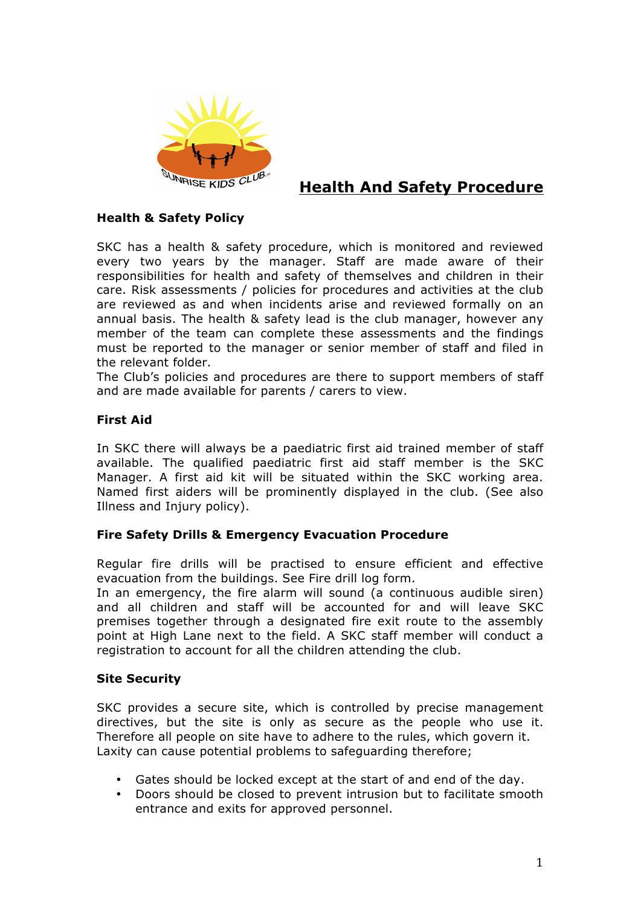

# **Health And Safety Procedure**

## **Health & Safety Policy**

SKC has a health & safety procedure, which is monitored and reviewed every two years by the manager. Staff are made aware of their responsibilities for health and safety of themselves and children in their care. Risk assessments / policies for procedures and activities at the club are reviewed as and when incidents arise and reviewed formally on an annual basis. The health & safety lead is the club manager, however any member of the team can complete these assessments and the findings must be reported to the manager or senior member of staff and filed in the relevant folder.

The Club's policies and procedures are there to support members of staff and are made available for parents / carers to view.

## **First Aid**

In SKC there will always be a paediatric first aid trained member of staff available. The qualified paediatric first aid staff member is the SKC Manager. A first aid kit will be situated within the SKC working area. Named first aiders will be prominently displayed in the club. (See also Illness and Injury policy).

## **Fire Safety Drills & Emergency Evacuation Procedure**

Regular fire drills will be practised to ensure efficient and effective evacuation from the buildings. See Fire drill log form.

In an emergency, the fire alarm will sound (a continuous audible siren) and all children and staff will be accounted for and will leave SKC premises together through a designated fire exit route to the assembly point at High Lane next to the field. A SKC staff member will conduct a registration to account for all the children attending the club.

## **Site Security**

SKC provides a secure site, which is controlled by precise management directives, but the site is only as secure as the people who use it. Therefore all people on site have to adhere to the rules, which govern it. Laxity can cause potential problems to safeguarding therefore;

- Gates should be locked except at the start of and end of the day.
- Doors should be closed to prevent intrusion but to facilitate smooth entrance and exits for approved personnel.